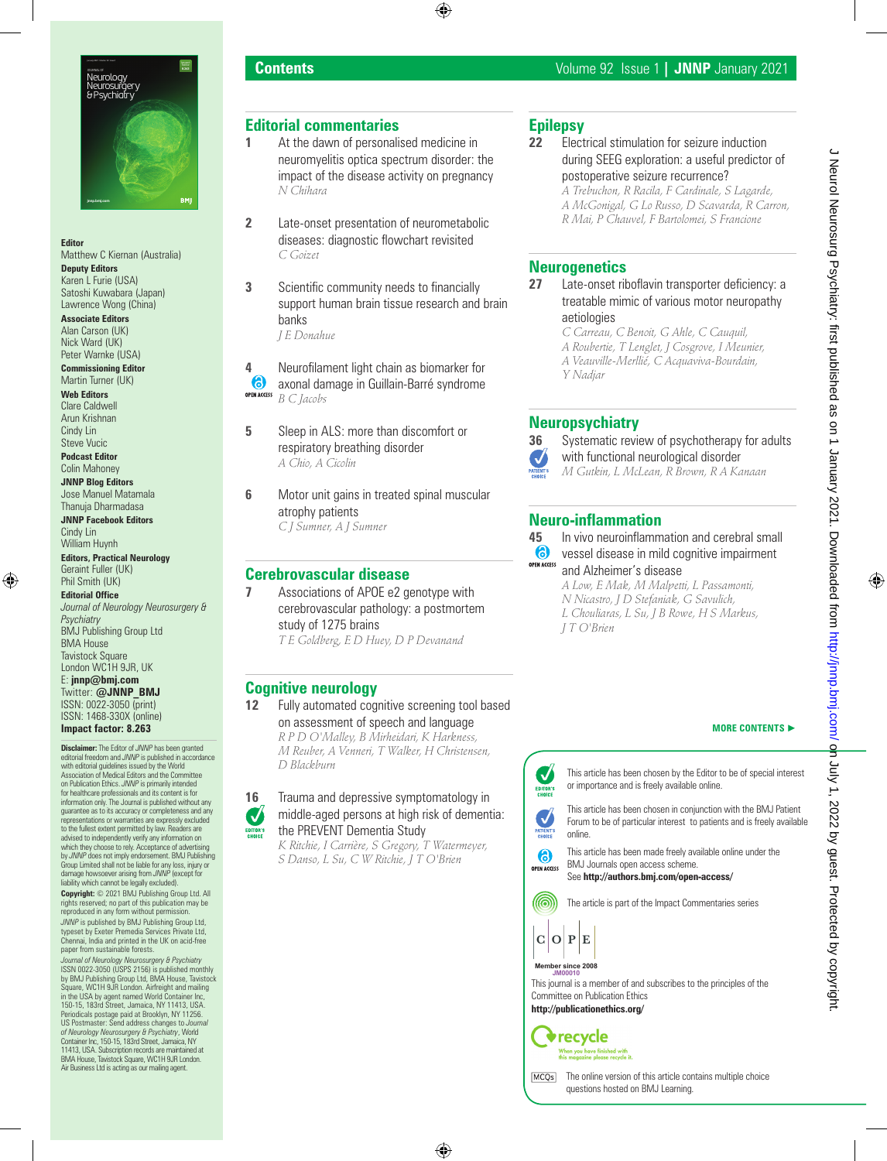

#### **Editor**

Matthew C Kiernan (Australia)

**Deputy Editors** Karen L Furie (USA) Satoshi Kuwabara (Japan)

Lawrence Wong (China) **Associate Editors** Alan Carson (UK) Nick Ward (UK)

Peter Warnke (USA) **Commissioning Editor** Martin Turner (UK)

**Web Editors** Clare Caldwell

Arun Krishnan Cindy Lin Steve Vucic

**Podcast Editor** Colin Mahoney

**JNNP Blog Editors** Jose Manuel Matamala Thanuja Dharmadasa

**JNNP Facebook Editors** Cindy Lin William Huynh

**Editors, Practical Neurology** Geraint Fuller (UK) Phil Smith (UK)

**Editorial Office** *Journal of Neurology Neurosurgery & Psychiatry* BMJ Publishing Group Ltd BMA House Tavistock Square London WC1H 9JR, UK E: **jnnp@bmj.com** Twitter: **@JNNP\_BMJ** ISSN: 0022-3050 (print) ISSN: 1468-330X (online) **Impact factor: 8.263**

**Disclaimer:** The Editor of *JNNP* has been granted editorial freedom and *JNNP* is published in accordance with editorial guidelines issued by the World Association of Medical Editors and the Committee on Publication Ethics. *JNNP* is primarily intended for healthcare professionals and its content is for information only. The Journal is published without any guarantee as to its accuracy or completeness and any representations or warranties are expressly excluded to the fullest extent permitted by law. Readers are advised to independently verify any information on which they choose to rely. Acceptance of advertising by *JNNP* does not imply endorsement. BMJ Publishing Group Limited shall not be liable for any loss, injury or damage howsoever arising from *JNNP* (except for liability which cannot be legally excluded).

**Copyright:** © 2021 BMJ Publishing Group Ltd. All rights reserved; no part of this publication may be reproduced in any form without permission.

*JNNP* is published by BMJ Publishing Group Ltd, typeset by Exeter Premedia Services Private Ltd, Chennai, India and printed in the UK on acid-free paper from sustainable forests.

*Journal of Neurology Neurosurgery & Psychiatry*<br>ISSN 0022-3050 (USPS 2156) is published monthly<br>by BMJ Publishing Group Ltd, BMA House, Tavistock Square, WC1H 9JR London. Airfreight and mailing in the USA by agent named World Container Inc, 150-15, 183rd Street, Jamaica, NY 11413, USA. Periodicals postage paid at Brooklyn, NY 11256. US Postmaster: Send address changes to *Journal of Neurology Neurosurgery & Psychiatry, V*lorld<br>Container Inc, 150-15, 183rd Street, Jamaica, NY<br>11413, USA. Subscription records are maintained at<br>BMA House, Tavistock Square, WC1H 9JR London. Air Business Ltd is acting as our mailing agent.

# **Editorial commentaries**

- **1** At the dawn of personalised medicine in neuromyelitis optica spectrum disorder: the impact of the disease activity on pregnancy *N Chihara*
- **2** Late-onset presentation of neurometabolic diseases: diagnostic flowchart revisited *C Goizet*
- **3** Scientific community needs to financially support human brain tissue research and brain banks *J E Donahue*

**4** Neurofilament light chain as biomarker for<br>**6** axonal damage in Guillain-Barré syndrome axonal damage in Guillain-Barré syndrome OPEN ACCESS *B C Jacobs*

- **5** Sleep in ALS: more than discomfort or respiratory breathing disorder *A Chio, A Cicolin*
- **6** Motor unit gains in treated spinal muscular atrophy patients *C J Sumner, A J Sumner*

## **Cerebrovascular disease**

**7** Associations of APOE e2 genotype with cerebrovascular pathology: a postmortem study of 1275 brains *T E Goldberg, E D Huey, D P Devanand*

# **Cognitive neurology**

**12** Fully automated cognitive screening tool based on assessment of speech and language *R P D O'Malley, B Mirheidari, K Harkness, M Reuber, A Venneri, T Walker, H Christensen, D Blackburn*

**16** Trauma and depressive symptomatology in middle-aged persons at high risk of dementia:  $\boldsymbol{\mathcal{U}}$ the PREVENT Dementia Study

*K Ritchie, I Carrière, S Gregory, T Watermeyer, S Danso, L Su, C W Ritchie, J T O'Brien*

# **Epilepsy**

**22** Electrical stimulation for seizure induction during SEEG exploration: a useful predictor of postoperative seizure recurrence?

*A Trebuchon, R Racila, F Cardinale, S Lagarde, A McGonigal, G Lo Russo, D Scavarda, R Carron, R Mai, P Chauvel, F Bartolomei, S Francione*

## **Neurogenetics**

**27** Late-onset riboflavin transporter deficiency: a treatable mimic of various motor neuropathy aetiologies

*C Carreau, C Benoit, G Ahle, C Cauquil,* 

- *A Roubertie, T Lenglet, J Cosgrove, I Meunier,*
- *A Veauville-Merllié, C Acquaviva-Bourdain,*
- *Y Nadjar*

# **Neuropsychiatry**



**36** Systematic review of psychotherapy for adults with functional neurological disorder *M Gutkin, L McLean, R Brown, R A Kanaan*

# **Neuro-inflammation**



*A Low, E Mak, M Malpetti, L Passamonti, N Nicastro, J D Stefaniak, G Savulich, L Chouliaras, L Su, J B Rowe, H S Markus, J T O'Brien*

#### **MORE CONTENTS** ►



**Contents** Volume 92 Issue 1 **| JNNP** January 2021